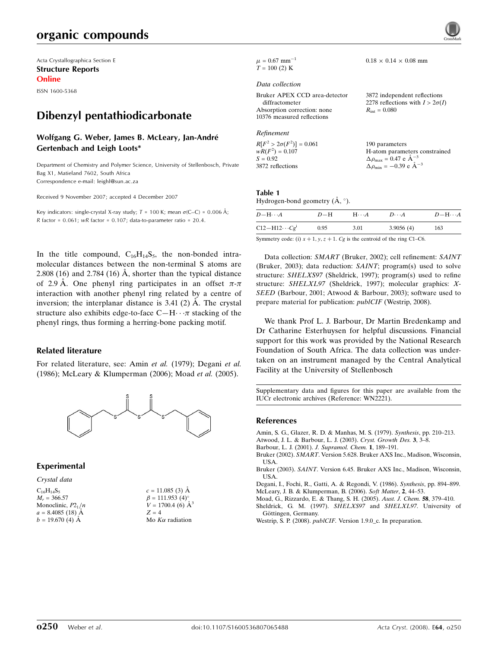# organic compounds

Acta Crystallographica Section E Structure Reports Online

ISSN 1600-5368

# Dibenzyl pentathiodicarbonate

### Wolfgang G. Weber, James B. McLeary, Jan-André Gertenbach and Leigh Loots\*

Department of Chemistry and Polymer Science, University of Stellenbosch, Private Bag X1, Matieland 7602, South Africa Correspondence e-mail: leighl@sun.ac.za

Received 9 November 2007; accepted 4 December 2007

Key indicators: single-crystal X-ray study;  $T = 100$  K; mean  $\sigma$ (C–C) = 0.006 Å; R factor =  $0.061$ ; wR factor =  $0.107$ ; data-to-parameter ratio =  $20.4$ .

In the title compound,  $C_{16}H_{14}S_5$ , the non-bonded intramolecular distances between the non-terminal S atoms are 2.808 (16) and 2.784 (16) A, shorter than the typical distance of 2.9 Å. One phenyl ring participates in an offset  $\pi$ - $\pi$ interaction with another phenyl ring related by a centre of inversion; the interplanar distance is  $3.41$  (2)  $\AA$ . The crystal structure also exhibits edge-to-face  $C-H\cdots\pi$  stacking of the phenyl rings, thus forming a herring-bone packing motif.

#### Related literature

For related literature, see: Amin et al. (1979); Degani et al. (1986); McLeary & Klumperman (2006); Moad et al. (2005).



## Experimental

#### Crystal data

| $C_{16}H_{14}S_5$    |
|----------------------|
| $M_r = 366.57$       |
| Monoclinic, $P2_1/n$ |
| $a = 8.4085(18)$ Å   |
| $b = 19.670(4)$ Å    |

 $c = 11.085$  (3)  $\AA$  $\beta = 111.953$  (4)<sup>o</sup>  $V = 1700.4$  (6)  $\AA^3$  $Z = 4$ Mo  $K\alpha$  radiation

 $\mu = 0.67$  mm<sup>-1</sup>  $T = 100$  (2) K

#### Data collection

Bruker APEX CCD area-detector diffractometer Absorption correction: none 10376 measured reflections

#### Refinement

 $R[F^2 > 2\sigma(F^2)] = 0.061$  $wR(F^2) = 0.107$  $S = 0.92$ 3872 reflections 190 parameters H-atom parameters constrained  $\Delta \rho_{\text{max}} = 0.47 \text{ e A}^{-3}$  $\Delta \rho_{\text{min}} = -0.39 \text{ e A}^{-3}$ 

 $0.18 \times 0.14 \times 0.08$  mm

 $R_{\text{int}} = 0.080$ 

3872 independent reflections 2278 reflections with  $I > 2\sigma(I)$ 

#### Table 1 Hydrogen-bond geometry  $(\AA, \degree)$ .

| $D - H \cdots A$    | $D-H$ | $H\cdots A$ | $D\cdots A$ | $D-\mathrm{H}\cdots A$ |
|---------------------|-------|-------------|-------------|------------------------|
| $C12-H12\cdots Cgi$ | 0.95  | 3.01        | 3.9056(4)   | 163                    |

Symmetry code: (i)  $x + 1$ ,  $y$ ,  $z + 1$ . Cg is the centroid of the ring C1–C6.

Data collection: SMART (Bruker, 2002); cell refinement: SAINT (Bruker, 2003); data reduction: SAINT; program(s) used to solve structure: SHELXS97 (Sheldrick, 1997); program(s) used to refine structure: SHELXL97 (Sheldrick, 1997); molecular graphics: X-SEED (Barbour, 2001; Atwood & Barbour, 2003); software used to prepare material for publication: publCIF (Westrip, 2008).

We thank Prof L. J. Barbour, Dr Martin Bredenkamp and Dr Catharine Esterhuysen for helpful discussions. Financial support for this work was provided by the National Research Foundation of South Africa. The data collection was undertaken on an instrument managed by the Central Analytical Facility at the University of Stellenbosch

Supplementary data and figures for this paper are available from the IUCr electronic archives (Reference: WN2221).

#### References

Amin, S. G., Glazer, R. D. & Manhas, M. S. (1979). Synthesis, pp. 210–213.

- Atwood, J. L. & Barbour, L. J. (2003). Cryst. Growth Des. 3, 3–8.
- Barbour, L. J. (2001). J. Supramol. Chem. 1, 189–191.
- Bruker (2002). SMART. Version 5.628. Bruker AXS Inc., Madison, Wisconsin, USA.
- Bruker (2003). SAINT. Version 6.45. Bruker AXS Inc., Madison, Wisconsin, USA.
- Degani, I., Fochi, R., Gatti, A. & Regondi, V. (1986). Synthesis, pp. 894–899. McLeary, J. B. & Klumperman, B. (2006). Soft Matter, 2, 44–53.
- Moad, G., Rizzardo, E. & Thang, S. H. (2005). Aust. J. Chem. 58, 379–410.
- Sheldrick, G. M. (1997). SHELXS97 and SHELXL97. University of Göttingen, Germany.
- Westrip, S. P. (2008). publCIF. Version 1.9.0\_c. In preparation.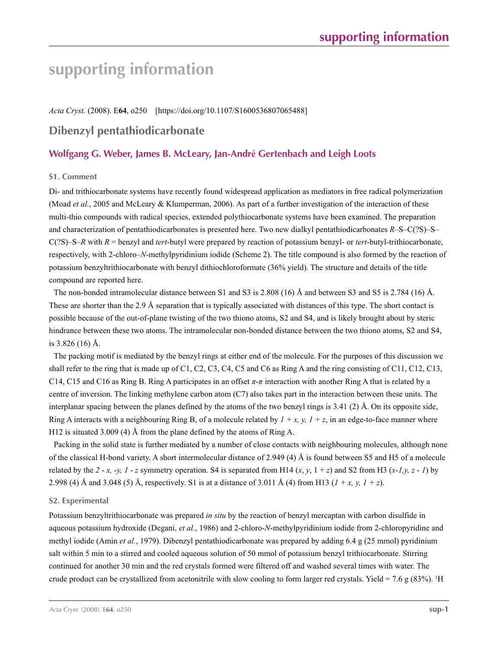# **supporting information**

### *Acta Cryst.* (2008). E**64**, o250 [https://doi.org/10.1107/S1600536807065488]

# **Dibenzyl pentathiodicarbonate**

# **Wolfgang G. Weber, James B. McLeary, Jan-André Gertenbach and Leigh Loots**

#### **S1. Comment**

Di- and trithiocarbonate systems have recently found widespread application as mediators in free radical polymerization (Moad *et al.*, 2005 and McLeary & Klumperman, 2006). As part of a further investigation of the interaction of these multi-thio compounds with radical species, extended polythiocarbonate systems have been examined. The preparation and characterization of pentathiodicarbonates is presented here. Two new dialkyl pentathiodicarbonates *R*–S–C(?S)–S– C(?S)–S–*R* with *R* = benzyl and *tert*-butyl were prepared by reaction of potassium benzyl- or *tert*-butyl-trithiocarbonate, respectively, with 2-chloro–*N*-methylpyridinium iodide (Scheme 2). The title compound is also formed by the reaction of potassium benzyltrithiocarbonate with benzyl dithiochloroformate (36% yield). The structure and details of the title compound are reported here.

The non-bonded intramolecular distance between S1 and S3 is 2.808 (16) Å and between S3 and S5 is 2.784 (16) Å. These are shorter than the 2.9 Å separation that is typically associated with distances of this type. The short contact is possible because of the out-of-plane twisting of the two thiono atoms, S2 and S4, and is likely brought about by steric hindrance between these two atoms. The intramolecular non-bonded distance between the two thiono atoms, S2 and S4, is 3.826 (16) Å.

The packing motif is mediated by the benzyl rings at either end of the molecule. For the purposes of this discussion we shall refer to the ring that is made up of C1, C2, C3, C4, C5 and C6 as Ring A and the ring consisting of C11, C12, C13, C14, C15 and C16 as Ring B. Ring A participates in an offset *π*-*π* interaction with another Ring A that is related by a centre of inversion. The linking methylene carbon atom (C7) also takes part in the interaction between these units. The interplanar spacing between the planes defined by the atoms of the two benzyl rings is 3.41 (2) Å. On its opposite side, Ring A interacts with a neighbouring Ring B, of a molecule related by  $1 + x$ , y,  $1 + z$ , in an edge-to-face manner where H12 is situated 3.009 (4) Å from the plane defined by the atoms of Ring A.

Packing in the solid state is further mediated by a number of close contacts with neighbouring molecules, although none of the classical H-bond variety. A short intermolecular distance of 2.949 (4) Å is found between S5 and H5 of a molecule related by the 2 - *x*,  $\cdot$ *y, 1 - z* symmetry operation. S4 is separated from H14 (*x*, *y*, 1 + *z*) and S2 from H3 (*x*-*1,y, z* - *1*) by 2.998 (4) Å and 3.048 (5) Å, respectively. S1 is at a distance of 3.011 Å (4) from H13 ( $1 + x$ ,  $y$ ,  $1 + z$ ).

#### **S2. Experimental**

Potassium benzyltrithiocarbonate was prepared *in situ* by the reaction of benzyl mercaptan with carbon disulfide in aqueous potassium hydroxide (Degani, *et al.*, 1986) and 2-chloro-*N*-methylpyridinium iodide from 2-chloropyridine and methyl iodide (Amin *et al.*, 1979). Dibenzyl pentathiodicarbonate was prepared by adding 6.4 g (25 mmol) pyridinium salt within 5 min to a stirred and cooled aqueous solution of 50 mmol of potassium benzyl trithiocarbonate. Stirring continued for another 30 min and the red crystals formed were filtered off and washed several times with water. The crude product can be crystallized from acetonitrile with slow cooling to form larger red crystals. Yield = 7.6  $g$  (83%). <sup>1</sup>H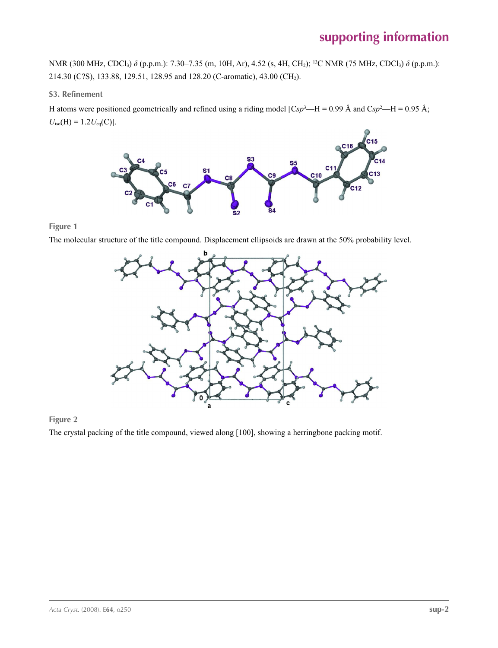NMR (300 MHz, CDCl<sub>3</sub>)  $\delta$  (p.p.m.): 7.30–7.35 (m, 10H, Ar), 4.52 (s, 4H, CH<sub>2</sub>); <sup>13</sup>C NMR (75 MHz, CDCl<sub>3</sub>)  $\delta$  (p.p.m.): 214.30 (C?S), 133.88, 129.51, 128.95 and 128.20 (C-aromatic), 43.00 (CH2).

### **S3. Refinement**

H atoms were positioned geometrically and refined using a riding model  $[Csp^3-H = 0.99 \text{ Å}$  and  $Csp^2-H = 0.95 \text{ Å}$ ;  $U_{\text{iso}}(H) = 1.2 U_{\text{eq}}(C)$ ].



## **Figure 1**

The molecular structure of the title compound. Displacement ellipsoids are drawn at the 50% probability level.



## **Figure 2**

The crystal packing of the title compound, viewed along [100], showing a herringbone packing motif.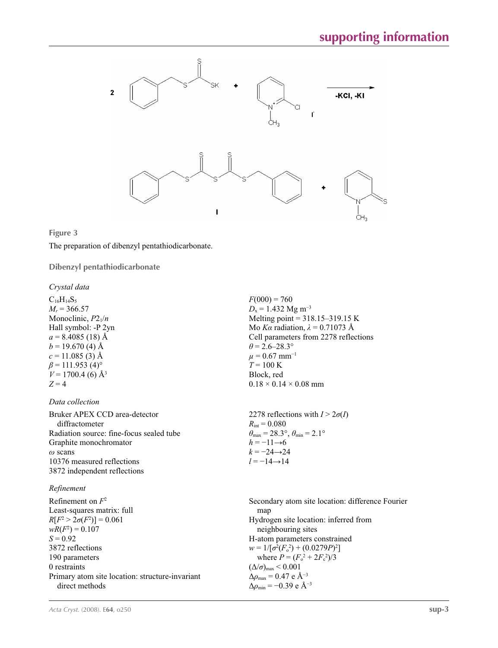

#### **Figure 3**

The preparation of dibenzyl pentathiodicarbonate.

**Dibenzyl pentathiodicarbonate** 

#### *Crystal data*

 $C_{16}H_{14}S_5$  $M_r = 366.57$ Monoclinic,  $P2_1/n$ Hall symbol: -P 2yn  $a = 8.4085(18)$  Å  $b = 19.670$  (4) Å  $c = 11.085(3)$  Å  $\beta$  = 111.953 (4)<sup>o</sup>  $V = 1700.4$  (6) Å<sup>3</sup>  $Z = 4$ 

#### *Data collection*

Bruker APEX CCD area-detector diffractometer Radiation source: fine-focus sealed tube Graphite monochromator *ω* scans 10376 measured reflections 3872 independent reflections

#### *Refinement*

Refinement on *F*<sup>2</sup> Least-squares matrix: full *R*[ $F^2 > 2\sigma(F^2)$ ] = 0.061  $wR(F^2) = 0.107$  $S = 0.92$ 3872 reflections 190 parameters 0 restraints Primary atom site location: structure-invariant direct methods Secondary atom site location: difference Fourier map Hydrogen site location: inferred from neighbouring sites H-atom parameters constrained  $w = 1/[\sigma^2 (F_o^2) + (0.0279P)^2]$ where  $P = (F_o^2 + 2F_c^2)/3$  $(\Delta/\sigma)_{\text{max}}$  < 0.001 Δ*ρ*max = 0.47 e Å−3  $\Delta \rho_{\text{min}} = -0.39 \text{ e A}^{-3}$ 

 $F(000) = 760$  $D_x = 1.432$  Mg m<sup>-3</sup> Melting point = 318.15–319.15 K Mo *Kα* radiation,  $\lambda = 0.71073$  Å Cell parameters from 2278 reflections  $\theta$  = 2.6–28.3°  $\mu$  = 0.67 mm<sup>-1</sup>  $T = 100 \text{ K}$ Block, red  $0.18 \times 0.14 \times 0.08$  mm

2278 reflections with  $I > 2\sigma(I)$  $R_{\text{int}} = 0.080$  $\theta_{\text{max}} = 28.3^{\circ}, \theta_{\text{min}} = 2.1^{\circ}$  $h = -11\rightarrow6$  $k = -24 \rightarrow 24$  $l = -14 \rightarrow 14$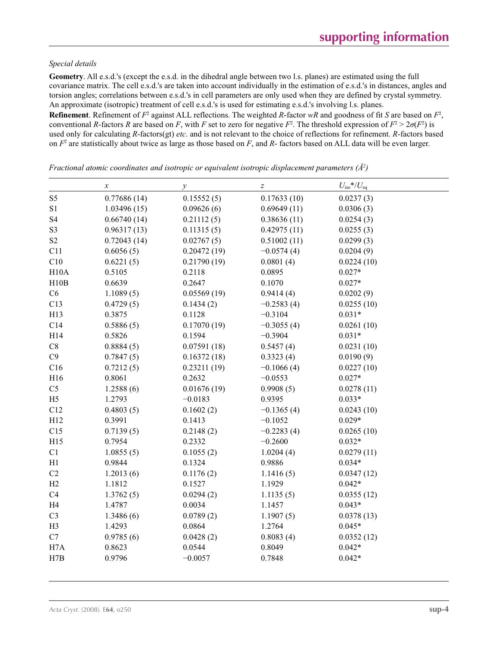#### *Special details*

**Geometry**. All e.s.d.'s (except the e.s.d. in the dihedral angle between two l.s. planes) are estimated using the full covariance matrix. The cell e.s.d.'s are taken into account individually in the estimation of e.s.d.'s in distances, angles and torsion angles; correlations between e.s.d.'s in cell parameters are only used when they are defined by crystal symmetry. An approximate (isotropic) treatment of cell e.s.d.'s is used for estimating e.s.d.'s involving l.s. planes.

**Refinement**. Refinement of  $F^2$  against ALL reflections. The weighted R-factor wR and goodness of fit *S* are based on  $F^2$ , conventional *R*-factors *R* are based on *F*, with *F* set to zero for negative *F*<sup>2</sup>. The threshold expression of  $F^2 > 2\sigma(F^2)$  is used only for calculating *R*-factors(gt) *etc*. and is not relevant to the choice of reflections for refinement. *R*-factors based on *F*<sup>2</sup> are statistically about twice as large as those based on *F*, and *R*- factors based on ALL data will be even larger.

*x*  $U_{\text{iso}}^* / U_{\text{eq}}$ S5 0.77686 (14) 0.15552 (5) 0.17633 (10) 0.0237 (3) S1 1.03496 (15) 0.09626 (6) 0.69649 (11) 0.0306 (3) S4 0.66740 (14) 0.21112 (5) 0.38636 (11) 0.0254 (3) S3 0.96317 (13) 0.11315 (5) 0.42975 (11) 0.0255 (3) S2 0.72043 (14) 0.02767 (5) 0.51002 (11) 0.0299 (3) C11 0.6056 (5) 0.20472 (19)  $-0.0574$  (4) 0.0204 (9) C10 0.6221 (5) 0.21790 (19) 0.0801 (4) 0.0224 (10) H10A 0.5105 0.2118 0.0895 0.027\* H10B 0.6639 0.2647 0.1070 0.027\* C6 1.1089 (5) 0.05569 (19) 0.9414 (4) 0.0202 (9) C13 0.4729 (5) 0.1434 (2)  $-0.2583(4)$  0.0255 (10) H13  $0.3875$   $0.1128$   $-0.3104$   $0.031*$ C14 0.5886 (5) 0.17070 (19)  $-0.3055(4)$  0.0261 (10) H14 0.5826 0.1594 −0.3904 0.031<sup>\*</sup> C8 0.8884 (5) 0.07591 (18) 0.5457 (4) 0.0231 (10) C9  $0.7847(5)$   $0.16372(18)$   $0.3323(4)$   $0.0190(9)$ C16 0.7212 (5) 0.23211 (19)  $-0.1066(4)$  0.0227 (10) H16 0.8061 0.2632 −0.0553 0.027\* C5 1.2588 (6) 0.01676 (19) 0.9908 (5) 0.0278 (11) H5 1.2793 −0.0183 0.9395 0.033\* C12 0.4803 (5) 0.1602 (2)  $-0.1365(4)$  0.0243 (10) H12 0.3991 0.1413 −0.1052 0.029\* C15 0.7139 (5) 0.2148 (2)  $-0.2283(4)$  0.0265 (10) H15 0.7954 0.2332  $-0.2600$  0.032\* C1 1.0855 (5) 0.1055 (2) 1.0204 (4) 0.0279 (11) H1 0.9844 0.1324 0.9886 0.034\* C2 1.2013 (6) 0.1176 (2) 1.1416 (5) 0.0347 (12) H2 1.1812 0.1527 1.1929 0.042\* C4 1.3762 (5) 0.0294 (2) 1.1135 (5) 0.0355 (12) H4 1.4787 0.0034 1.1457 0.043\* C3 1.3486 (6) 0.0789 (2) 1.1907 (5) 0.0378 (13) H3 1.4293 0.0864 1.2764 0.045\* C7 0.9785 (6) 0.0428 (2) 0.8083 (4) 0.0352 (12) H7A 0.8623 0.0544 0.8049 0.042\* H7B 0.9796 −0.0057 0.7848 0.042\*

*Fractional atomic coordinates and isotropic or equivalent isotropic displacement parameters (Å2 )*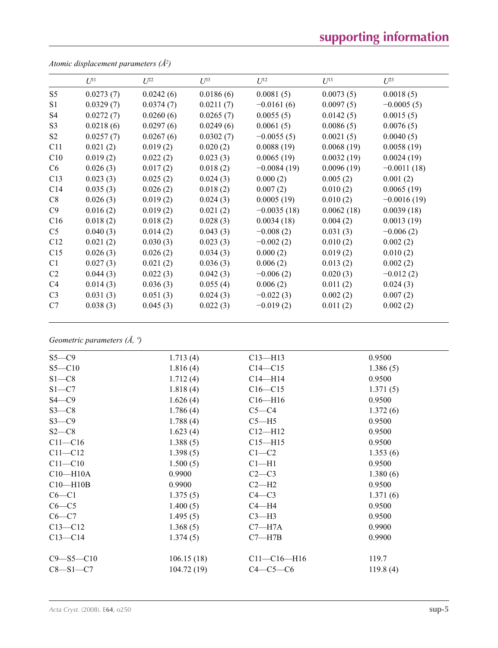# **supporting information**

| $U^{11}$  | $U^{22}$  | $U^{33}$  | $U^{12}$      | $U^{13}$   | $U^{23}$      |
|-----------|-----------|-----------|---------------|------------|---------------|
| 0.0273(7) | 0.0242(6) | 0.0186(6) | 0.0081(5)     | 0.0073(5)  | 0.0018(5)     |
| 0.0329(7) | 0.0374(7) | 0.0211(7) | $-0.0161(6)$  | 0.0097(5)  | $-0.0005(5)$  |
| 0.0272(7) | 0.0260(6) | 0.0265(7) | 0.0055(5)     | 0.0142(5)  | 0.0015(5)     |
| 0.0218(6) | 0.0297(6) | 0.0249(6) | 0.0061(5)     | 0.0086(5)  | 0.0076(5)     |
| 0.0257(7) | 0.0267(6) | 0.0302(7) | $-0.0055(5)$  | 0.0021(5)  | 0.0040(5)     |
| 0.021(2)  | 0.019(2)  | 0.020(2)  | 0.0088(19)    | 0.0068(19) | 0.0058(19)    |
| 0.019(2)  | 0.022(2)  | 0.023(3)  | 0.0065(19)    | 0.0032(19) | 0.0024(19)    |
| 0.026(3)  | 0.017(2)  | 0.018(2)  | $-0.0084(19)$ | 0.0096(19) | $-0.0011(18)$ |
| 0.023(3)  | 0.025(2)  | 0.024(3)  | 0.000(2)      | 0.005(2)   | 0.001(2)      |
| 0.035(3)  | 0.026(2)  | 0.018(2)  | 0.007(2)      | 0.010(2)   | 0.0065(19)    |
| 0.026(3)  | 0.019(2)  | 0.024(3)  | 0.0005(19)    | 0.010(2)   | $-0.0016(19)$ |
| 0.016(2)  | 0.019(2)  | 0.021(2)  | $-0.0035(18)$ | 0.0062(18) | 0.0039(18)    |
| 0.018(2)  | 0.018(2)  | 0.028(3)  | 0.0034(18)    | 0.004(2)   | 0.0013(19)    |
| 0.040(3)  | 0.014(2)  | 0.043(3)  | $-0.008(2)$   | 0.031(3)   | $-0.006(2)$   |
| 0.021(2)  | 0.030(3)  | 0.023(3)  | $-0.002(2)$   | 0.010(2)   | 0.002(2)      |
| 0.026(3)  | 0.026(2)  | 0.034(3)  | 0.000(2)      | 0.019(2)   | 0.010(2)      |
| 0.027(3)  | 0.021(2)  | 0.036(3)  | 0.006(2)      | 0.013(2)   | 0.002(2)      |
| 0.044(3)  | 0.022(3)  | 0.042(3)  | $-0.006(2)$   | 0.020(3)   | $-0.012(2)$   |
| 0.014(3)  | 0.036(3)  | 0.055(4)  | 0.006(2)      | 0.011(2)   | 0.024(3)      |
| 0.031(3)  | 0.051(3)  | 0.024(3)  | $-0.022(3)$   | 0.002(2)   | 0.007(2)      |
| 0.038(3)  | 0.045(3)  | 0.022(3)  | $-0.019(2)$   | 0.011(2)   | 0.002(2)      |
|           |           |           |               |            |               |

*Atomic displacement parameters (Å2 )*

## *Geometric parameters (Å, º)*

| $S5 - C9$       | 1.713(4)   | $C13 - H13$       | 0.9500   |  |
|-----------------|------------|-------------------|----------|--|
| $S5 - C10$      | 1.816(4)   | $C14 - C15$       | 1.386(5) |  |
| $S1 - C8$       | 1.712(4)   | $C14 - H14$       | 0.9500   |  |
| $S1 - C7$       | 1.818(4)   | $C16 - C15$       | 1.371(5) |  |
| $S4 - C9$       | 1.626(4)   | $C16 - H16$       | 0.9500   |  |
| $S3-C8$         | 1.786(4)   | $C5-C4$           | 1.372(6) |  |
| $S3-C9$         | 1.788(4)   | $C5 - H5$         | 0.9500   |  |
| $S2-C8$         | 1.623(4)   | $C12 - H12$       | 0.9500   |  |
| $C11 - C16$     | 1.388(5)   | $C15 - H15$       | 0.9500   |  |
| $C11 - C12$     | 1.398(5)   | $C1-C2$           | 1.353(6) |  |
| $C11 - C10$     | 1.500(5)   | $Cl-H1$           | 0.9500   |  |
| $C10 - H10A$    | 0.9900     | $C2-C3$           | 1.380(6) |  |
| $C10 - H10B$    | 0.9900     | $C2-H2$           | 0.9500   |  |
| $C6 - C1$       | 1.375(5)   | $C4 - C3$         | 1.371(6) |  |
| $C6-C5$         | 1.400(5)   | $C4 - H4$         | 0.9500   |  |
| $C6-C7$         | 1.495(5)   | $C3-H3$           | 0.9500   |  |
| $C13 - C12$     | 1.368(5)   | $C7 - H7A$        | 0.9900   |  |
| $C13 - C14$     | 1.374(5)   | $C7 - H7B$        | 0.9900   |  |
|                 |            |                   |          |  |
| $C9 - S5 - C10$ | 106.15(18) | $C11 - C16 - H16$ | 119.7    |  |
| $C8 - S1 - C7$  | 104.72(19) | $C4-C5-C6$        | 119.8(4) |  |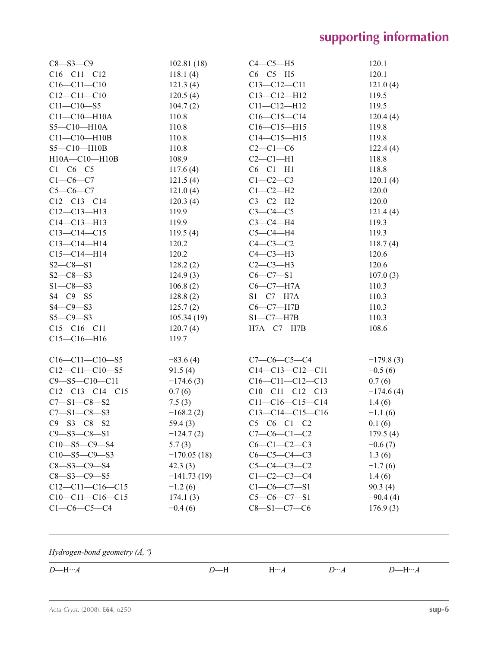| $C8 - S3 - C9$        | 102.81(18)    | $C4-C5-H5$               | 120.1       |
|-----------------------|---------------|--------------------------|-------------|
| $C16 - C11 - C12$     | 118.1(4)      | $C6-C5-H5$               | 120.1       |
| $C16 - C11 - C10$     | 121.3(4)      | $C13 - C12 - C11$        | 121.0(4)    |
| $C12 - C11 - C10$     | 120.5(4)      | $C13 - C12 - H12$        | 119.5       |
| $C11 - C10 - S5$      | 104.7(2)      | $C11 - C12 - H12$        | 119.5       |
| $C11 - C10 - H10A$    | 110.8         | $C16-C15-C14$            | 120.4(4)    |
| $S5 - C10 - H10A$     | 110.8         | $C16 - C15 - H15$        | 119.8       |
| $C11 - C10 - H10B$    | 110.8         | $C14 - C15 - H15$        | 119.8       |
| $S5 - C10 - H10B$     | 110.8         | $C2-C1-C6$               | 122.4(4)    |
| $H10A - C10 - H10B$   | 108.9         | $C2-C1-H1$               | 118.8       |
| $C1-C6-C5$            | 117.6(4)      | $C6-C1-H1$               | 118.8       |
| $C1-C6-C7$            | 121.5(4)      | $C1-C2-C3$               | 120.1(4)    |
| $C5-C6-C7$            | 121.0(4)      | $C1-C2-H2$               | 120.0       |
| $C12-C13-C14$         | 120.3(4)      | $C3-C2-H2$               | 120.0       |
| $C12-C13-H13$         | 119.9         | $C3 - C4 - C5$           | 121.4(4)    |
| $C14 - C13 - H13$     | 119.9         | $C3-C4-H4$               | 119.3       |
| $C13 - C14 - C15$     | 119.5(4)      | $C5-C4-H4$               | 119.3       |
| $C13 - C14 - H14$     | 120.2         | $C4-C3-C2$               | 118.7(4)    |
| $C15-C14-H14$         | 120.2         | $C4-C3-H3$               | 120.6       |
| $S2 - C8 - S1$        | 128.2(2)      | $C2-C3-H3$               | 120.6       |
| $S2 - C8 - S3$        | 124.9(3)      | $C6 - C7 - S1$           | 107.0(3)    |
| $S1 - C8 - S3$        | 106.8(2)      | $C6-C7-H7A$              | 110.3       |
| $S4 - C9 - S5$        | 128.8(2)      | $S1-C7-H7A$              | 110.3       |
| $S4 - C9 - S3$        | 125.7(2)      | $C6-C7-H7B$              | 110.3       |
| $S5 - C9 - S3$        | 105.34(19)    | $S1-C7-H7B$              | 110.3       |
| $C15-C16-C11$         | 120.7(4)      | $H7A$ <sup>-C7-H7B</sup> | 108.6       |
| $C15-C16-H16$         | 119.7         |                          |             |
|                       |               |                          |             |
| $C16-C11-C10-S5$      | $-83.6(4)$    | $C7-C6-C5-C4$            | $-179.8(3)$ |
| $C12-C11-C10-S5$      | 91.5(4)       | $C14 - C13 - C12 - C11$  | $-0.5(6)$   |
| $C9 - S5 - C10 - C11$ | $-174.6(3)$   | $C16-C11-C12-C13$        | 0.7(6)      |
| $C12-C13-C14-C15$     | 0.7(6)        | $C10-C11-C12-C13$        | $-174.6(4)$ |
| $C7 - S1 - C8 - S2$   | 7.5(3)        | $C11-C16-C15-C14$        | 1.4(6)      |
| $C7 - S1 - C8 - S3$   | $-168.2(2)$   | $C13-C14-C15-C16$        | $-1.1(6)$   |
| $C9 - S3 - C8 - S2$   | 59.4(3)       | $C5-C6-C1-C2$            | 0.1(6)      |
| $C9 - S3 - C8 - S1$   | $-124.7(2)$   | $C7-C6-C1-C2$            | 179.5(4)    |
| $C10 - S5 - C9 - S4$  | 5.7(3)        | $C6-C1-C2-C3$            | $-0.6(7)$   |
| $C10 - S5 - C9 - S3$  | $-170.05(18)$ | $C6-C5-C4-C3$            | 1.3(6)      |
| $C8 - S3 - C9 - S4$   | 42.3(3)       | $C5 - C4 - C3 - C2$      | $-1.7(6)$   |
| $C8 - S3 - C9 - S5$   | $-141.73(19)$ | $C1 - C2 - C3 - C4$      | 1.4(6)      |
| $C12-C11-C16-C15$     | $-1.2(6)$     | $C1 - C6 - C7 - S1$      | 90.3(4)     |
| $C10-C11-C16-C15$     | 174.1(3)      | $C5-C6-C7-S1$            | $-90.4(4)$  |
| $C1-C6-C5-C4$         | $-0.4(6)$     | $C8 - S1 - C7 - C6$      | 176.9(3)    |
|                       |               |                          |             |
|                       |               |                          |             |
|                       |               |                          |             |

*Hydrogen-bond geometry (Å, º)*

 $\overline{\phantom{0}}$